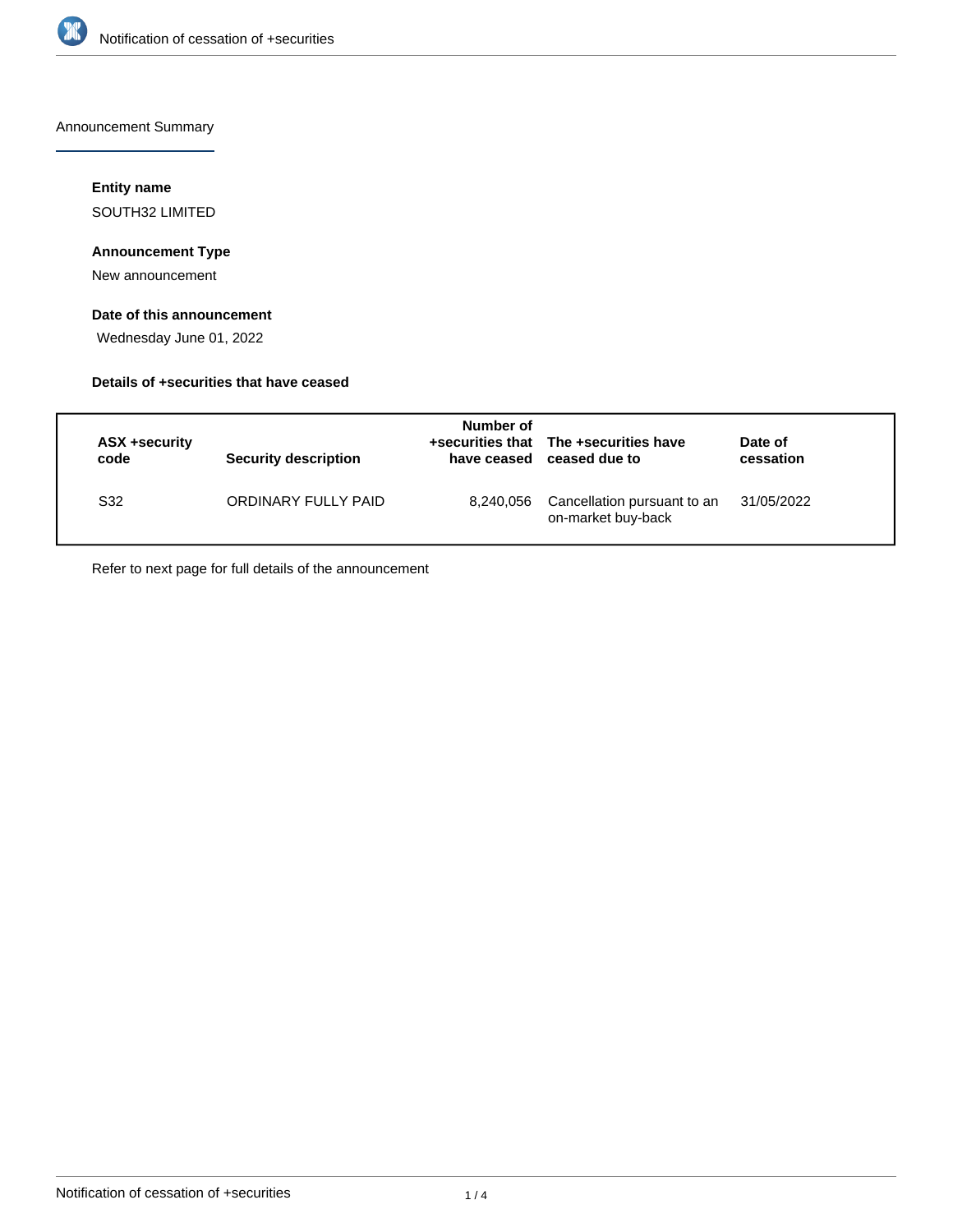

Announcement Summary

### **Entity name**

SOUTH32 LIMITED

### **Announcement Type**

New announcement

### **Date of this announcement**

Wednesday June 01, 2022

### **Details of +securities that have ceased**

| ASX +security<br>code | <b>Security description</b> | Number of<br>have ceased | +securities that The +securities have<br>ceased due to | Date of<br>cessation |
|-----------------------|-----------------------------|--------------------------|--------------------------------------------------------|----------------------|
| S32                   | ORDINARY FULLY PAID         | 8,240,056                | Cancellation pursuant to an<br>on-market buy-back      | 31/05/2022           |

Refer to next page for full details of the announcement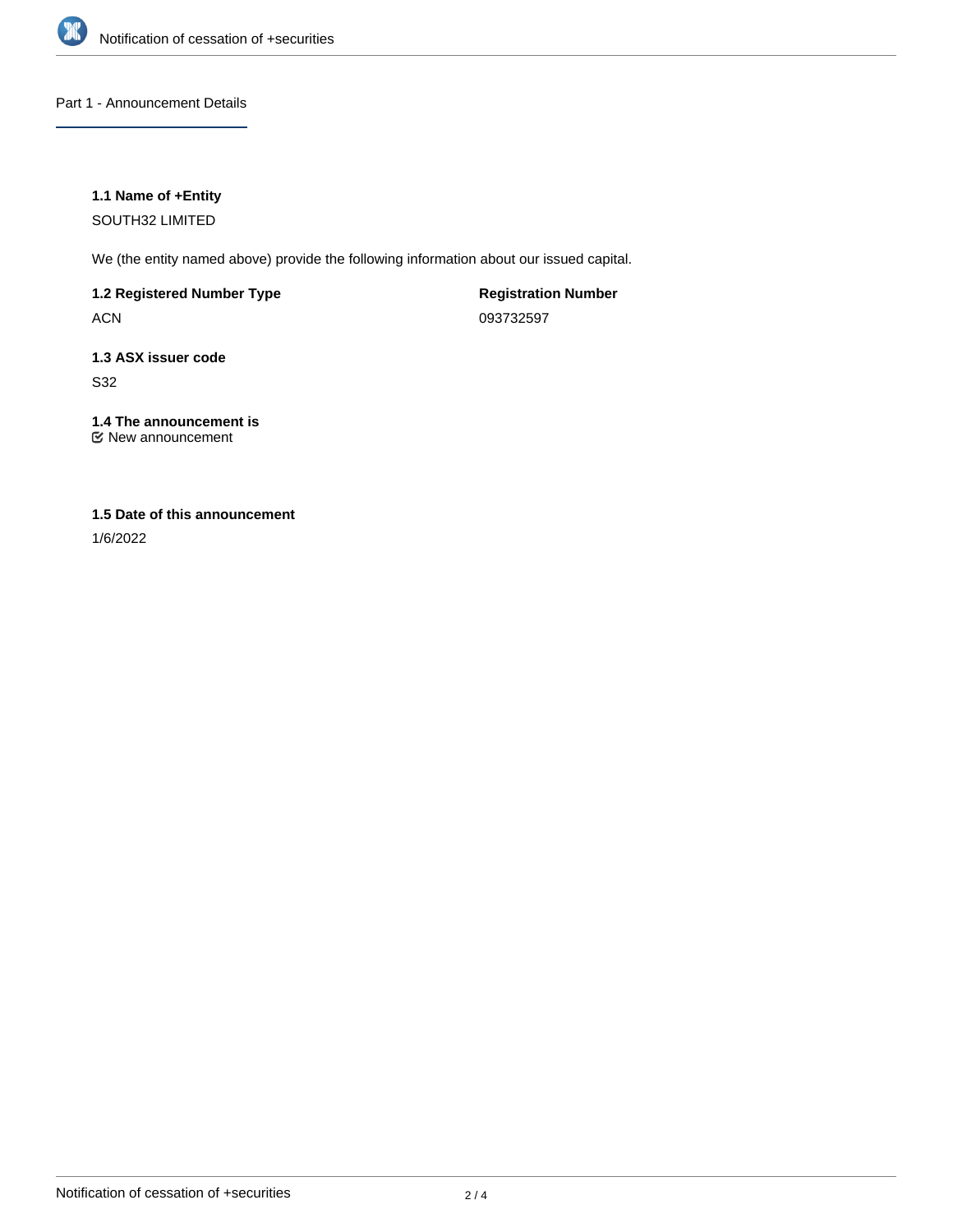

### Part 1 - Announcement Details

### **1.1 Name of +Entity**

SOUTH32 LIMITED

We (the entity named above) provide the following information about our issued capital.

### **1.2 Registered Number Type**

ACN

**Registration Number** 093732597

## **1.3 ASX issuer code**

S32

### **1.4 The announcement is**

New announcement

### **1.5 Date of this announcement**

1/6/2022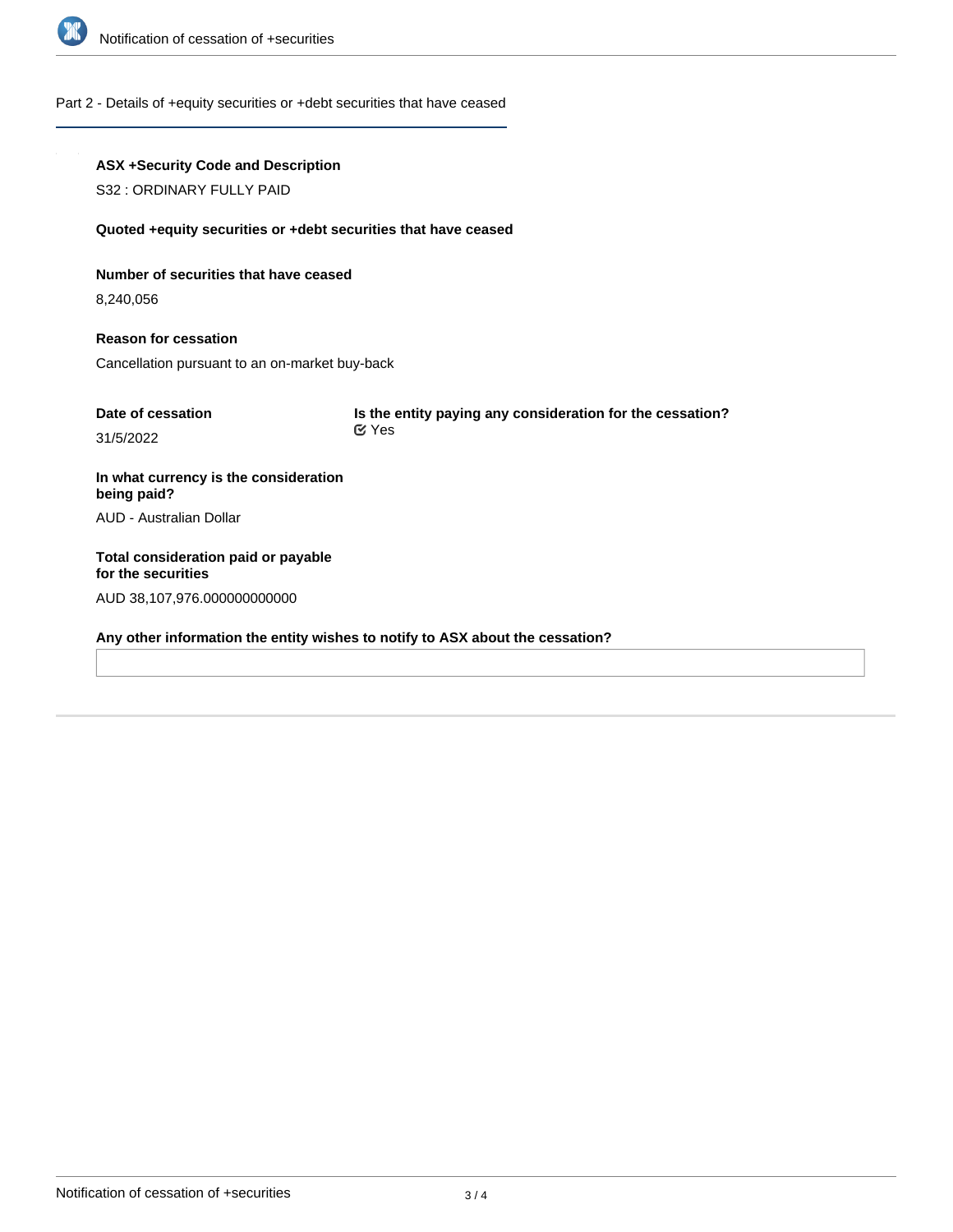

#### Part 2 - Details of +equity securities or +debt securities that have ceased

# **ASX +Security Code and Description** S32 : ORDINARY FULLY PAID **Quoted +equity securities or +debt securities that have ceased Number of securities that have ceased** 8,240,056 **Reason for cessation** Cancellation pursuant to an on-market buy-back **Date of cessation** 31/5/2022 **Is the entity paying any consideration for the cessation? In what currency is the consideration being paid?** AUD - Australian Dollar **Total consideration paid or payable for the securities** AUD 38,107,976.000000000000 **Any other information the entity wishes to notify to ASX about the cessation?** Yes